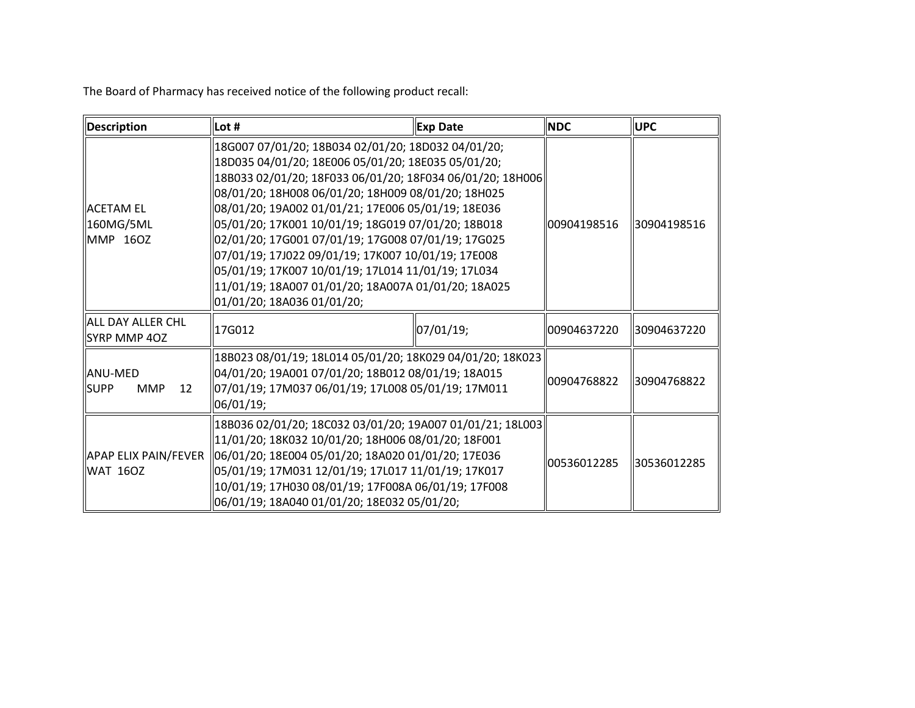The Board of Pharmacy has received notice of the following product recall:

| Description                                       | Lot #                                                                                                                                                                                                                                                                                                                                                                                                                                                                                                                                                                                           | <b>Exp Date</b> | <b>NDC</b>  | <b>UPC</b>  |
|---------------------------------------------------|-------------------------------------------------------------------------------------------------------------------------------------------------------------------------------------------------------------------------------------------------------------------------------------------------------------------------------------------------------------------------------------------------------------------------------------------------------------------------------------------------------------------------------------------------------------------------------------------------|-----------------|-------------|-------------|
| <b>IACETAM EL</b><br>160MG/5ML<br>MMP 160Z        | 18G007 07/01/20; 18B034 02/01/20; 18D032 04/01/20;<br>18D035 04/01/20; 18E006 05/01/20; 18E035 05/01/20;<br>18B033 02/01/20; 18F033 06/01/20; 18F034 06/01/20; 18H006<br>08/01/20; 18H008 06/01/20; 18H009 08/01/20; 18H025<br>08/01/20; 19A002 01/01/21; 17E006 05/01/19; 18E036<br>05/01/20; 17K001 10/01/19; 18G019 07/01/20; 18B018<br>02/01/20; 17G001 07/01/19; 17G008 07/01/19; 17G025<br>07/01/19; 17J022 09/01/19; 17K007 10/01/19; 17E008<br>05/01/19; 17K007 10/01/19; 17L014 11/01/19; 17L034<br>11/01/19; 18A007 01/01/20; 18A007A 01/01/20; 18A025]<br>01/01/20; 18A036 01/01/20; |                 | 00904198516 | 30904198516 |
| lall day aller CHL<br>SYRP MMP 40Z                | 17G012                                                                                                                                                                                                                                                                                                                                                                                                                                                                                                                                                                                          | 07/01/19;       | 00904637220 | 30904637220 |
| <b>ANU-MED</b><br><b>SUPP</b><br><b>MMP</b><br>12 | 18B023 08/01/19; 18L014 05/01/20; 18K029 04/01/20; 18K023<br>04/01/20; 19A001 07/01/20; 18B012 08/01/19; 18A015<br>07/01/19; 17M037 06/01/19; 17L008 05/01/19; 17M011<br>06/01/19;                                                                                                                                                                                                                                                                                                                                                                                                              |                 | 00904768822 | 30904768822 |
| <b>WAT 160Z</b>                                   | 18B036 02/01/20; 18C032 03/01/20; 19A007 01/01/21; 18L003<br>11/01/20; 18K032 10/01/20; 18H006 08/01/20; 18F001<br>APAP ELIX PAIN/FEVER   06/01/20; 18E004 05/01/20; 18A020 01/01/20; 17E036<br>05/01/19; 17M031 12/01/19; 17L017 11/01/19; 17K017<br>10/01/19; 17H030 08/01/19; 17F008A 06/01/19; 17F008<br>06/01/19; 18A040 01/01/20; 18E032 05/01/20;                                                                                                                                                                                                                                        |                 | 00536012285 | 30536012285 |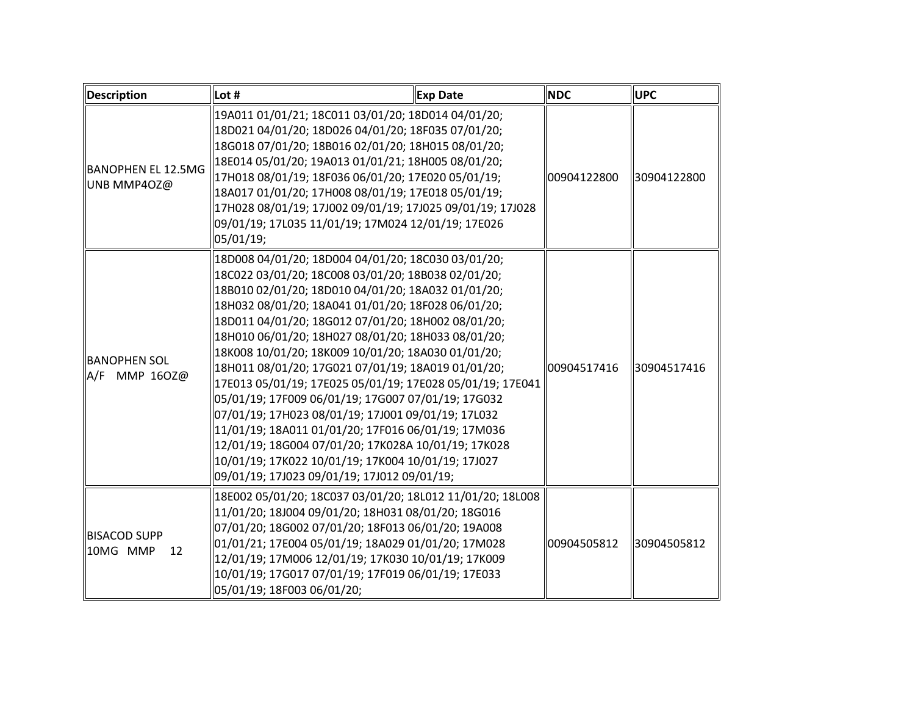| Description                           | Lot #                                                                                                                                                                                                                                                                                                                                                                                                                                                                                                                                                                                                                                                                                                                                                                                                                                   | <b>Exp Date</b> | <b>NDC</b>  | <b>UPC</b>  |
|---------------------------------------|-----------------------------------------------------------------------------------------------------------------------------------------------------------------------------------------------------------------------------------------------------------------------------------------------------------------------------------------------------------------------------------------------------------------------------------------------------------------------------------------------------------------------------------------------------------------------------------------------------------------------------------------------------------------------------------------------------------------------------------------------------------------------------------------------------------------------------------------|-----------------|-------------|-------------|
| BANOPHEN EL 12.5MG<br>UNB MMP4OZ@     | 19A011 01/01/21; 18C011 03/01/20; 18D014 04/01/20;<br>18D021 04/01/20; 18D026 04/01/20; 18F035 07/01/20;<br>18G018 07/01/20; 18B016 02/01/20; 18H015 08/01/20;<br>18E014 05/01/20; 19A013 01/01/21; 18H005 08/01/20;<br>17H018 08/01/19; 18F036 06/01/20; 17E020 05/01/19;<br>18A017 01/01/20; 17H008 08/01/19; 17E018 05/01/19;<br>17H028 08/01/19; 17J002 09/01/19; 17J025 09/01/19; 17J028<br>09/01/19; 17L035 11/01/19; 17M024 12/01/19; 17E026<br>05/01/19;                                                                                                                                                                                                                                                                                                                                                                        |                 | 00904122800 | 30904122800 |
| <b>BANOPHEN SOL</b><br>A/F MMP 160Z@  | 18D008 04/01/20; 18D004 04/01/20; 18C030 03/01/20;<br>18C022 03/01/20; 18C008 03/01/20; 18B038 02/01/20;<br>18B010 02/01/20; 18D010 04/01/20; 18A032 01/01/20;<br>18H032 08/01/20; 18A041 01/01/20; 18F028 06/01/20;<br>18D011 04/01/20; 18G012 07/01/20; 18H002 08/01/20;<br>18H010 06/01/20; 18H027 08/01/20; 18H033 08/01/20;<br>18K008 10/01/20; 18K009 10/01/20; 18A030 01/01/20;<br>18H011 08/01/20; 17G021 07/01/19; 18A019 01/01/20;<br>17E013 05/01/19; 17E025 05/01/19; 17E028 05/01/19; 17E041<br>05/01/19; 17F009 06/01/19; 17G007 07/01/19; 17G032<br>07/01/19; 17H023 08/01/19; 17J001 09/01/19; 17L032<br>11/01/19; 18A011 01/01/20; 17F016 06/01/19; 17M036<br>12/01/19; 18G004 07/01/20; 17K028A 10/01/19; 17K028<br>10/01/19; 17K022 10/01/19; 17K004 10/01/19; 17J027<br>09/01/19; 17J023 09/01/19; 17J012 09/01/19; |                 | 00904517416 | 30904517416 |
| <b>BISACOD SUPP</b><br>10MG MMP<br>12 | 18E002 05/01/20; 18C037 03/01/20; 18L012 11/01/20; 18L008<br>11/01/20; 18J004 09/01/20; 18H031 08/01/20; 18G016<br>07/01/20; 18G002 07/01/20; 18F013 06/01/20; 19A008<br>01/01/21; 17E004 05/01/19; 18A029 01/01/20; 17M028<br>12/01/19; 17M006 12/01/19; 17K030 10/01/19; 17K009<br>10/01/19; 17G017 07/01/19; 17F019 06/01/19; 17E033<br>05/01/19; 18F003 06/01/20;                                                                                                                                                                                                                                                                                                                                                                                                                                                                   |                 | 00904505812 | 30904505812 |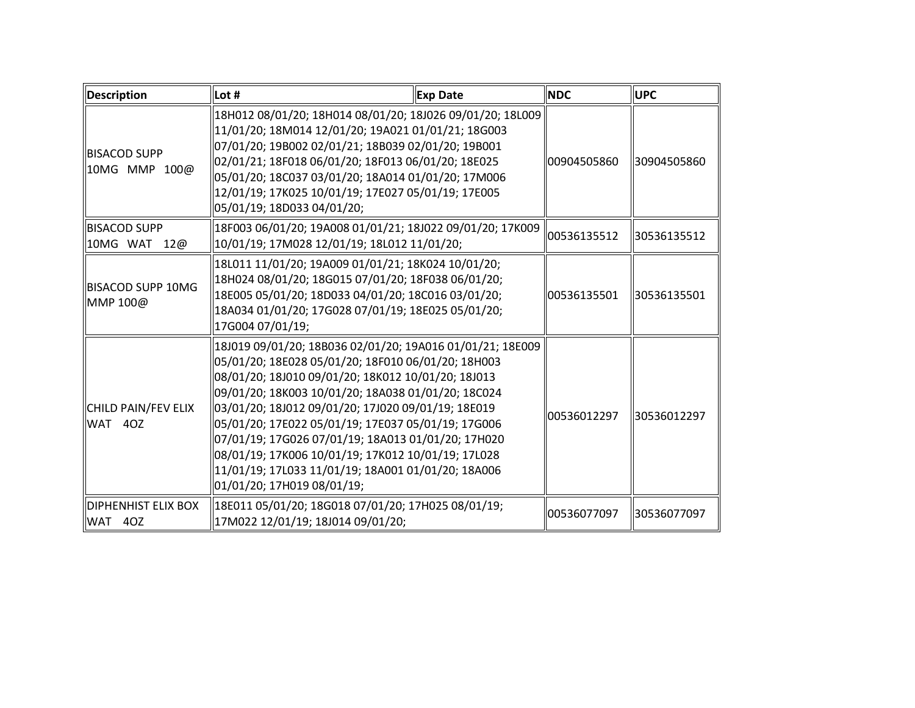| Description                            | Lot #                                                                                                                                                                                                                                                                                                                                                                                                                                                                                                                                     | <b>Exp Date</b> | <b>NDC</b>  | <b>UPC</b>  |
|----------------------------------------|-------------------------------------------------------------------------------------------------------------------------------------------------------------------------------------------------------------------------------------------------------------------------------------------------------------------------------------------------------------------------------------------------------------------------------------------------------------------------------------------------------------------------------------------|-----------------|-------------|-------------|
| <b>BISACOD SUPP</b><br>10MG MMP 100@   | 18H012 08/01/20; 18H014 08/01/20; 18J026 09/01/20; 18L009<br>  11/01/20; 18M014 12/01/20; 19A021 01/01/21; 18G003<br>07/01/20; 19B002 02/01/21; 18B039 02/01/20; 19B001<br>02/01/21; 18F018 06/01/20; 18F013 06/01/20; 18E025<br>05/01/20; 18C037 03/01/20; 18A014 01/01/20; 17M006<br>  12/01/19; 17K025 10/01/19; 17E027 05/01/19; 17E005<br>05/01/19; 18D033 04/01/20;                                                                                                                                                                 |                 | 00904505860 | 30904505860 |
| <b>BISACOD SUPP</b><br>10MG WAT<br>12@ | 18F003 06/01/20; 19A008 01/01/21; 18J022 09/01/20; 17K009<br>  10/01/19; 17M028 12/01/19; 18L012 11/01/20;                                                                                                                                                                                                                                                                                                                                                                                                                                |                 | 00536135512 | 30536135512 |
| BISACOD SUPP 10MG<br>MMP 100@          | 18L011 11/01/20; 19A009 01/01/21; 18K024 10/01/20;<br>  18H024 08/01/20; 18G015 07/01/20; 18F038 06/01/20;<br>  18E005 05/01/20; 18D033 04/01/20; 18C016 03/01/20;<br>  18A034 01/01/20; 17G028 07/01/19; 18E025 05/01/20;<br>17G004 07/01/19;                                                                                                                                                                                                                                                                                            |                 | 00536135501 | 30536135501 |
| CHILD PAIN/FEV ELIX<br>WAT 40Z         | 18J019 09/01/20; 18B036 02/01/20; 19A016 01/01/21; 18E009<br>05/01/20; 18E028 05/01/20; 18F010 06/01/20; 18H003<br>08/01/20; 18J010 09/01/20; 18K012 10/01/20; 18J013<br>09/01/20; 18K003 10/01/20; 18A038 01/01/20; 18C024<br>03/01/20; 18J012 09/01/20; 17J020 09/01/19; 18E019<br>05/01/20; 17E022 05/01/19; 17E037 05/01/19; 17G006<br>07/01/19; 17G026 07/01/19; 18A013 01/01/20; 17H020<br>08/01/19; 17K006 10/01/19; 17K012 10/01/19; 17L028<br>  11/01/19; 17L033 11/01/19; 18A001 01/01/20; 18A006<br>01/01/20; 17H019 08/01/19; |                 | 00536012297 | 30536012297 |
| IDIPHENHIST ELIX BOX<br>WAT 40Z        | 18E011 05/01/20; 18G018 07/01/20; 17H025 08/01/19;<br>  17M022 12/01/19; 18J014 09/01/20;                                                                                                                                                                                                                                                                                                                                                                                                                                                 |                 | 00536077097 | 30536077097 |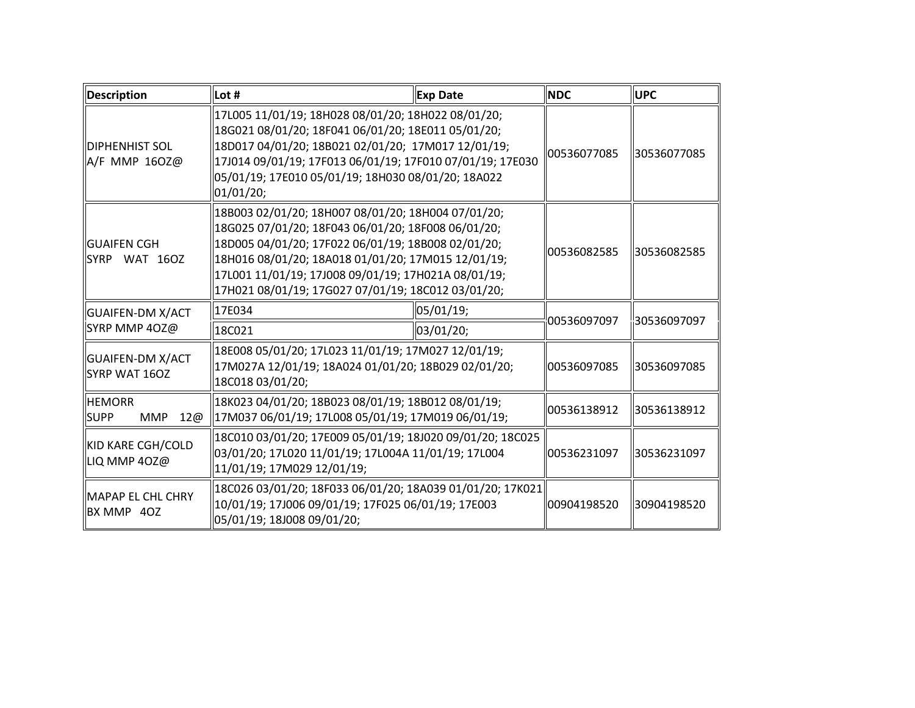| Description                                       | Lot #                                                                                                                                                                                                                                                                                                                             | <b>Exp Date</b>         | <b>NDC</b>  | <b>IUPC</b> |
|---------------------------------------------------|-----------------------------------------------------------------------------------------------------------------------------------------------------------------------------------------------------------------------------------------------------------------------------------------------------------------------------------|-------------------------|-------------|-------------|
| <b>DIPHENHIST SOL</b><br>A/F MMP 160Z@            | 17L005 11/01/19; 18H028 08/01/20; 18H022 08/01/20;<br>18G021 08/01/20; 18F041 06/01/20; 18E011 05/01/20;<br>18D017 04/01/20; 18B021 02/01/20; 17M017 12/01/19;<br>17J014 09/01/19; 17F013 06/01/19; 17F010 07/01/19; 17E030<br>05/01/19; 17E010 05/01/19; 18H030 08/01/20; 18A022<br>01/01/20;                                    |                         | 00536077085 | 30536077085 |
| <b>GUAIFEN CGH</b><br>llSYRP WAT 16OZ             | 18B003 02/01/20; 18H007 08/01/20; 18H004 07/01/20;<br>18G025 07/01/20; 18F043 06/01/20; 18F008 06/01/20;<br>18D005 04/01/20; 17F022 06/01/19; 18B008 02/01/20;<br>18H016 08/01/20; 18A018 01/01/20; 17M015 12/01/19;<br>17L001 11/01/19; 17J008 09/01/19; 17H021A 08/01/19;<br>17H021 08/01/19; 17G027 07/01/19; 18C012 03/01/20; |                         | 00536082585 | 30536082585 |
| GUAIFEN-DM X/ACT<br>SYRP MMP 4OZ@                 | 17E034<br>18C021                                                                                                                                                                                                                                                                                                                  | 05/01/19;<br> 03/01/20; | 00536097097 | 30536097097 |
| GUAIFEN-DM X/ACT<br>SYRP WAT 160Z                 | 18E008 05/01/20; 17L023 11/01/19; 17M027 12/01/19;<br>17M027A 12/01/19; 18A024 01/01/20; 18B029 02/01/20;<br>18C018 03/01/20;                                                                                                                                                                                                     |                         | 00536097085 | 30536097085 |
| <b>HEMORR</b><br><b>SUPP</b><br><b>MMP</b><br>12@ | 18K023 04/01/20; 18B023 08/01/19; 18B012 08/01/19;<br>  17M037 06/01/19; 17L008 05/01/19; 17M019 06/01/19;                                                                                                                                                                                                                        |                         | 00536138912 | 30536138912 |
| KID KARE CGH/COLD<br>LIQ MMP 40Z@                 | 18C010 03/01/20; 17E009 05/01/19; 18J020 09/01/20; 18C025<br>03/01/20; 17L020 11/01/19; 17L004A 11/01/19; 17L004<br>11/01/19; 17M029 12/01/19;                                                                                                                                                                                    |                         | 00536231097 | 30536231097 |
| $\ $ MAPAP EL CHL CHRY<br>BX MMP 40Z              | 18C026 03/01/20; 18F033 06/01/20; 18A039 01/01/20; 17K021<br>10/01/19; 17J006 09/01/19; 17F025 06/01/19; 17E003<br>  05/01/19; 18J008 09/01/20;                                                                                                                                                                                   |                         | 00904198520 | 30904198520 |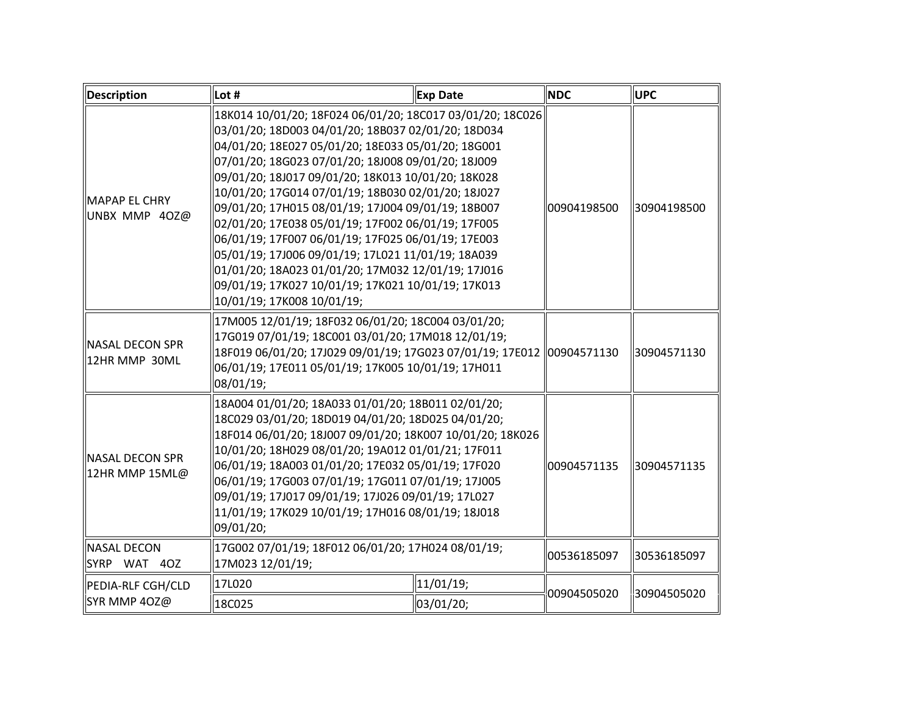| Description                            | Lot #                                                                                                                                                                                                                                                                                                                                                                                                                                                                                                                                                                                                                                                                                                     | <b>Exp Date</b> | <b>NDC</b>  | <b>UPC</b>  |
|----------------------------------------|-----------------------------------------------------------------------------------------------------------------------------------------------------------------------------------------------------------------------------------------------------------------------------------------------------------------------------------------------------------------------------------------------------------------------------------------------------------------------------------------------------------------------------------------------------------------------------------------------------------------------------------------------------------------------------------------------------------|-----------------|-------------|-------------|
| MAPAP EL CHRY<br>UNBX MMP 40Z@         | 18K014 10/01/20; 18F024 06/01/20; 18C017 03/01/20; 18C026<br>03/01/20; 18D003 04/01/20; 18B037 02/01/20; 18D034<br>04/01/20; 18E027 05/01/20; 18E033 05/01/20; 18G001<br>07/01/20; 18G023 07/01/20; 18J008 09/01/20; 18J009<br>09/01/20; 18J017 09/01/20; 18K013 10/01/20; 18K028<br>10/01/20; 17G014 07/01/19; 18B030 02/01/20; 18J027<br>09/01/20; 17H015 08/01/19; 17J004 09/01/19; 18B007<br>02/01/20; 17E038 05/01/19; 17F002 06/01/19; 17F005<br>06/01/19; 17F007 06/01/19; 17F025 06/01/19; 17E003<br>05/01/19; 17J006 09/01/19; 17L021 11/01/19; 18A039<br>01/01/20; 18A023 01/01/20; 17M032 12/01/19; 17J016<br>09/01/19; 17K027 10/01/19; 17K021 10/01/19; 17K013<br>10/01/19; 17K008 10/01/19; |                 | 00904198500 | 30904198500 |
| NASAL DECON SPR<br>12HR MMP 30ML       | 17M005 12/01/19; 18F032 06/01/20; 18C004 03/01/20;<br>17G019 07/01/19; 18C001 03/01/20; 17M018 12/01/19;<br>18F019 06/01/20; 17J029 09/01/19; 17G023 07/01/19; 17E012 00904571130<br>06/01/19; 17E011 05/01/19; 17K005 10/01/19; 17H011<br>08/01/19;                                                                                                                                                                                                                                                                                                                                                                                                                                                      |                 |             | 30904571130 |
| $\ $ NASAL DECON SPR<br>12HR MMP 15ML@ | 18A004 01/01/20; 18A033 01/01/20; 18B011 02/01/20;<br>18C029 03/01/20; 18D019 04/01/20; 18D025 04/01/20;<br>18F014 06/01/20; 18J007 09/01/20; 18K007 10/01/20; 18K026<br>10/01/20; 18H029 08/01/20; 19A012 01/01/21; 17F011<br>06/01/19; 18A003 01/01/20; 17E032 05/01/19; 17F020<br>06/01/19; 17G003 07/01/19; 17G011 07/01/19; 17J005<br>09/01/19; 17J017 09/01/19; 17J026 09/01/19; 17L027<br>11/01/19; 17K029 10/01/19; 17H016 08/01/19; 18J018<br>09/01/20;                                                                                                                                                                                                                                          |                 | 00904571135 | 30904571135 |
| <b>NASAL DECON</b><br>SYRP WAT 40Z     | 17G002 07/01/19; 18F012 06/01/20; 17H024 08/01/19;<br>17M023 12/01/19;                                                                                                                                                                                                                                                                                                                                                                                                                                                                                                                                                                                                                                    |                 | 00536185097 | 30536185097 |
| PEDIA-RLF CGH/CLD<br>SYR MMP 40Z@      | 17L020<br>11/01/19;<br>18C025<br>03/01/20;                                                                                                                                                                                                                                                                                                                                                                                                                                                                                                                                                                                                                                                                |                 | 00904505020 | 30904505020 |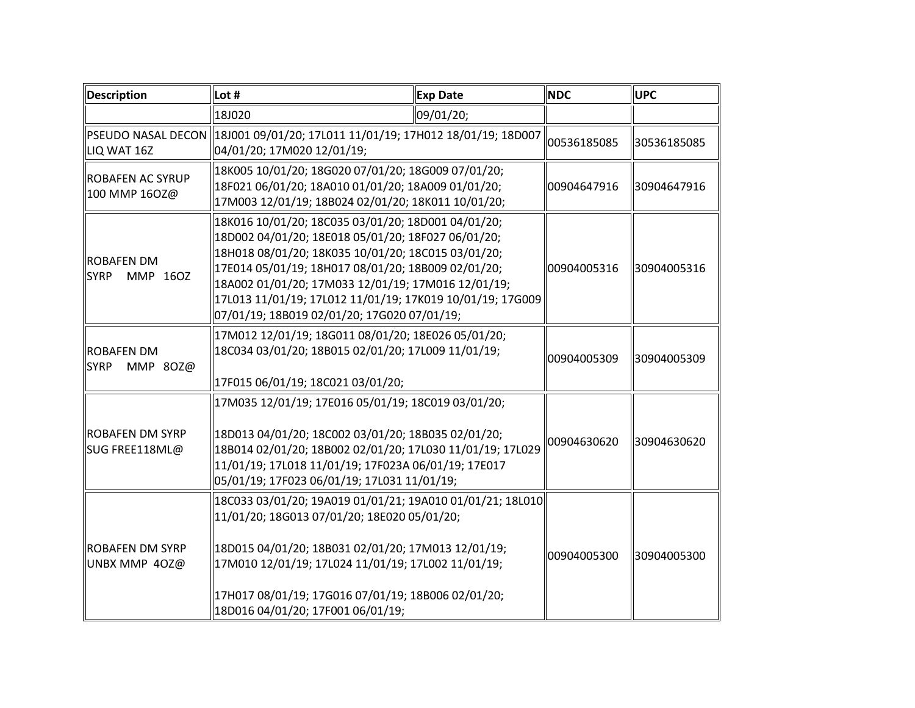| Description                                  | Lot #                                                                                                                                                                                                                                                                                                                                                                                  | <b>Exp Date</b> | <b>NDC</b>  | <b>UPC</b>  |
|----------------------------------------------|----------------------------------------------------------------------------------------------------------------------------------------------------------------------------------------------------------------------------------------------------------------------------------------------------------------------------------------------------------------------------------------|-----------------|-------------|-------------|
|                                              | 18J020                                                                                                                                                                                                                                                                                                                                                                                 | 09/01/20;       |             |             |
| LIQ WAT 16Z                                  | PSEUDO NASAL DECON 18J001 09/01/20; 17L011 11/01/19; 17H012 18/01/19; 18D007<br>04/01/20; 17M020 12/01/19;                                                                                                                                                                                                                                                                             |                 | 00536185085 | 30536185085 |
| <b>ROBAFEN AC SYRUP</b><br>100 MMP 160Z@     | 18K005 10/01/20; 18G020 07/01/20; 18G009 07/01/20;<br>18F021 06/01/20; 18A010 01/01/20; 18A009 01/01/20;<br>17M003 12/01/19; 18B024 02/01/20; 18K011 10/01/20;                                                                                                                                                                                                                         |                 | 00904647916 | 30904647916 |
| <b>ROBAFEN DM</b><br><b>SYRP</b><br>MMP 160Z | 18K016 10/01/20; 18C035 03/01/20; 18D001 04/01/20;<br>18D002 04/01/20; 18E018 05/01/20; 18F027 06/01/20;<br>18H018 08/01/20; 18K035 10/01/20; 18C015 03/01/20;<br>17E014 05/01/19; 18H017 08/01/20; 18B009 02/01/20;<br>18A002 01/01/20; 17M033 12/01/19; 17M016 12/01/19;<br>17L013 11/01/19; 17L012 11/01/19; 17K019 10/01/19; 17G009<br>07/01/19; 18B019 02/01/20; 17G020 07/01/19; |                 | 00904005316 | 30904005316 |
| <b>ROBAFEN DM</b><br><b>SYRP</b><br>MMP 80Z@ | 17M012 12/01/19; 18G011 08/01/20; 18E026 05/01/20;<br>18C034 03/01/20; 18B015 02/01/20; 17L009 11/01/19;<br>17F015 06/01/19; 18C021 03/01/20;                                                                                                                                                                                                                                          |                 | 00904005309 | 30904005309 |
| ROBAFEN DM SYRP<br>SUG FREE118ML@            | 17M035 12/01/19; 17E016 05/01/19; 18C019 03/01/20;<br>18D013 04/01/20; 18C002 03/01/20; 18B035 02/01/20;<br>18B014 02/01/20; 18B002 02/01/20; 17L030 11/01/19; 17L029<br>11/01/19; 17L018 11/01/19; 17F023A 06/01/19; 17E017<br>05/01/19; 17F023 06/01/19; 17L031 11/01/19;                                                                                                            |                 | 00904630620 | 30904630620 |
| <b>ROBAFEN DM SYRP</b><br>UNBX MMP 40Z@      | 18C033 03/01/20; 19A019 01/01/21; 19A010 01/01/21; 18L010<br>11/01/20; 18G013 07/01/20; 18E020 05/01/20;<br>18D015 04/01/20; 18B031 02/01/20; 17M013 12/01/19;<br>17M010 12/01/19; 17L024 11/01/19; 17L002 11/01/19;<br>17H017 08/01/19; 17G016 07/01/19; 18B006 02/01/20;<br>18D016 04/01/20; 17F001 06/01/19;                                                                        |                 | 00904005300 | 30904005300 |